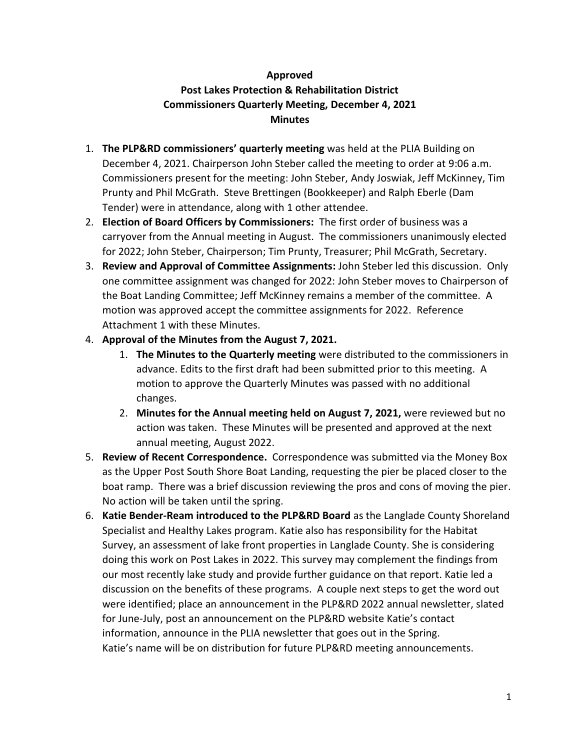# **Approved Post Lakes Protection & Rehabilitation District Commissioners Quarterly Meeting, December 4, 2021 Minutes**

- 1. **The PLP&RD commissioners' quarterly meeting** was held at the PLIA Building on December 4, 2021. Chairperson John Steber called the meeting to order at 9:06 a.m. Commissioners present for the meeting: John Steber, Andy Joswiak, Jeff McKinney, Tim Prunty and Phil McGrath. Steve Brettingen (Bookkeeper) and Ralph Eberle (Dam Tender) were in attendance, along with 1 other attendee.
- 2. **Election of Board Officers by Commissioners:** The first order of business was a carryover from the Annual meeting in August. The commissioners unanimously elected for 2022; John Steber, Chairperson; Tim Prunty, Treasurer; Phil McGrath, Secretary.
- 3. **Review and Approval of Committee Assignments:** John Steber led this discussion. Only one committee assignment was changed for 2022: John Steber moves to Chairperson of the Boat Landing Committee; Jeff McKinney remains a member of the committee. A motion was approved accept the committee assignments for 2022. Reference Attachment 1 with these Minutes.
- 4. **Approval of the Minutes from the August 7, 2021.** 
	- 1. **The Minutes to the Quarterly meeting** were distributed to the commissioners in advance. Edits to the first draft had been submitted prior to this meeting. A motion to approve the Quarterly Minutes was passed with no additional changes.
	- 2. **Minutes for the Annual meeting held on August 7, 2021,** were reviewed but no action was taken. These Minutes will be presented and approved at the next annual meeting, August 2022.
- 5. **Review of Recent Correspondence.** Correspondence was submitted via the Money Box as the Upper Post South Shore Boat Landing, requesting the pier be placed closer to the boat ramp. There was a brief discussion reviewing the pros and cons of moving the pier. No action will be taken until the spring.
- 6. **Katie Bender-Ream introduced to the PLP&RD Board** as the Langlade County Shoreland Specialist and Healthy Lakes program. Katie also has responsibility for the Habitat Survey, an assessment of lake front properties in Langlade County. She is considering doing this work on Post Lakes in 2022. This survey may complement the findings from our most recently lake study and provide further guidance on that report. Katie led a discussion on the benefits of these programs. A couple next steps to get the word out were identified; place an announcement in the PLP&RD 2022 annual newsletter, slated for June-July, post an announcement on the PLP&RD website Katie's contact information, announce in the PLIA newsletter that goes out in the Spring. Katie's name will be on distribution for future PLP&RD meeting announcements.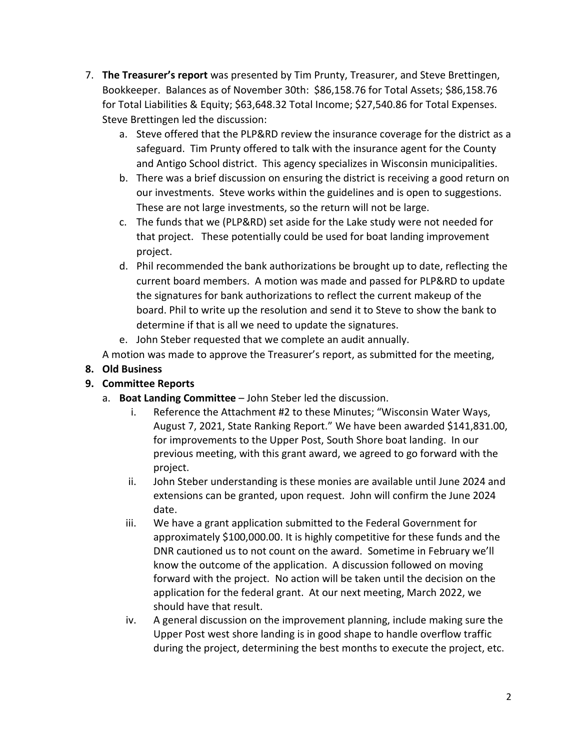- 7. **The Treasurer's report** was presented by Tim Prunty, Treasurer, and Steve Brettingen, Bookkeeper. Balances as of November 30th: \$86,158.76 for Total Assets; \$86,158.76 for Total Liabilities & Equity; \$63,648.32 Total Income; \$27,540.86 for Total Expenses. Steve Brettingen led the discussion:
	- a. Steve offered that the PLP&RD review the insurance coverage for the district as a safeguard. Tim Prunty offered to talk with the insurance agent for the County and Antigo School district. This agency specializes in Wisconsin municipalities.
	- b. There was a brief discussion on ensuring the district is receiving a good return on our investments. Steve works within the guidelines and is open to suggestions. These are not large investments, so the return will not be large.
	- c. The funds that we (PLP&RD) set aside for the Lake study were not needed for that project. These potentially could be used for boat landing improvement project.
	- d. Phil recommended the bank authorizations be brought up to date, reflecting the current board members. A motion was made and passed for PLP&RD to update the signatures for bank authorizations to reflect the current makeup of the board. Phil to write up the resolution and send it to Steve to show the bank to determine if that is all we need to update the signatures.
	- e. John Steber requested that we complete an audit annually.

A motion was made to approve the Treasurer's report, as submitted for the meeting,

## **8. Old Business**

# **9. Committee Reports**

- a. **Boat Landing Committee** John Steber led the discussion.
	- i. Reference the Attachment #2 to these Minutes; "Wisconsin Water Ways, August 7, 2021, State Ranking Report." We have been awarded \$141,831.00, for improvements to the Upper Post, South Shore boat landing. In our previous meeting, with this grant award, we agreed to go forward with the project.
	- ii. John Steber understanding is these monies are available until June 2024 and extensions can be granted, upon request. John will confirm the June 2024 date.
	- iii. We have a grant application submitted to the Federal Government for approximately \$100,000.00. It is highly competitive for these funds and the DNR cautioned us to not count on the award. Sometime in February we'll know the outcome of the application. A discussion followed on moving forward with the project. No action will be taken until the decision on the application for the federal grant. At our next meeting, March 2022, we should have that result.
	- iv. A general discussion on the improvement planning, include making sure the Upper Post west shore landing is in good shape to handle overflow traffic during the project, determining the best months to execute the project, etc.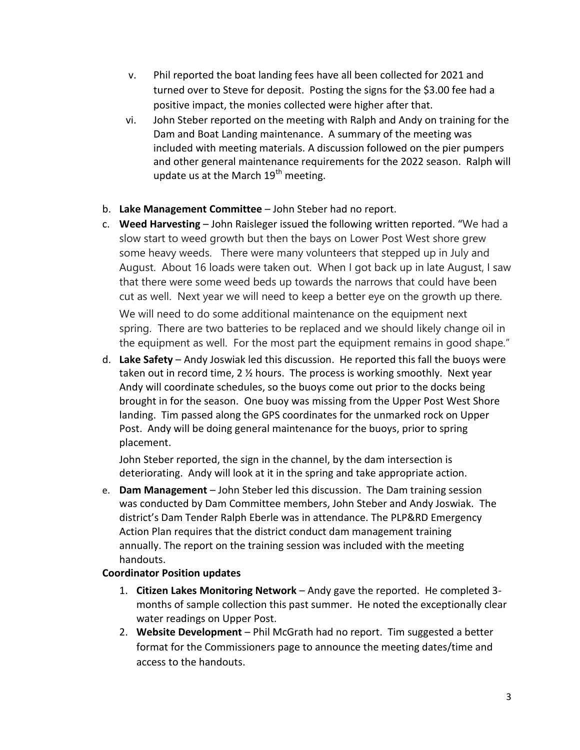- v. Phil reported the boat landing fees have all been collected for 2021 and turned over to Steve for deposit. Posting the signs for the \$3.00 fee had a positive impact, the monies collected were higher after that.
- vi. John Steber reported on the meeting with Ralph and Andy on training for the Dam and Boat Landing maintenance. A summary of the meeting was included with meeting materials. A discussion followed on the pier pumpers and other general maintenance requirements for the 2022 season. Ralph will update us at the March  $19<sup>th</sup>$  meeting.
- b. **Lake Management Committee** John Steber had no report.
- c. **Weed Harvesting**  John Raisleger issued the following written reported. "We had a slow start to weed growth but then the bays on Lower Post West shore grew some heavy weeds. There were many volunteers that stepped up in July and August. About 16 loads were taken out. When I got back up in late August, I saw that there were some weed beds up towards the narrows that could have been cut as well. Next year we will need to keep a better eye on the growth up there. We will need to do some additional maintenance on the equipment next spring. There are two batteries to be replaced and we should likely change oil in the equipment as well. For the most part the equipment remains in good shape."
- d. **Lake Safety** Andy Joswiak led this discussion. He reported this fall the buoys were taken out in record time, 2 ½ hours. The process is working smoothly. Next year Andy will coordinate schedules, so the buoys come out prior to the docks being brought in for the season. One buoy was missing from the Upper Post West Shore landing. Tim passed along the GPS coordinates for the unmarked rock on Upper Post. Andy will be doing general maintenance for the buoys, prior to spring placement.

John Steber reported, the sign in the channel, by the dam intersection is deteriorating. Andy will look at it in the spring and take appropriate action.

e. **Dam Management** – John Steber led this discussion. The Dam training session was conducted by Dam Committee members, John Steber and Andy Joswiak. The district's Dam Tender Ralph Eberle was in attendance. The PLP&RD Emergency Action Plan requires that the district conduct dam management training annually. The report on the training session was included with the meeting handouts.

## **Coordinator Position updates**

- 1. **Citizen Lakes Monitoring Network** Andy gave the reported. He completed 3 months of sample collection this past summer. He noted the exceptionally clear water readings on Upper Post.
- 2. **Website Development**  Phil McGrath had no report. Tim suggested a better format for the Commissioners page to announce the meeting dates/time and access to the handouts.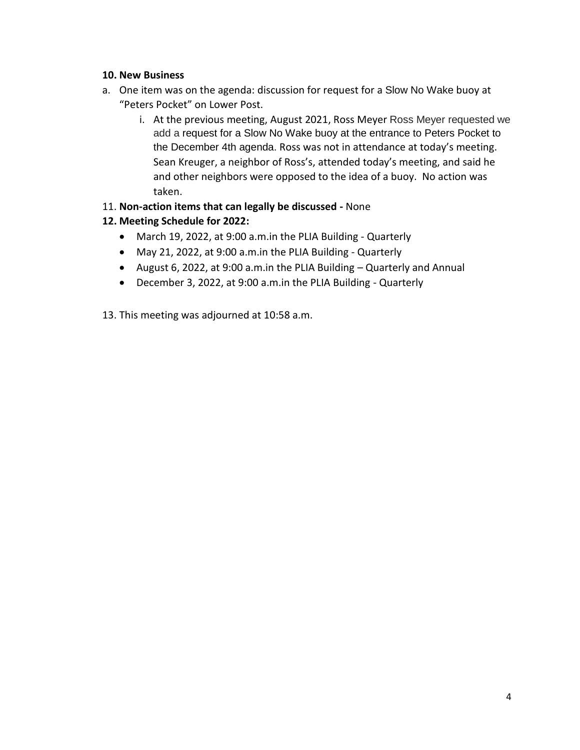## **10. New Business**

- a. One item was on the agenda: discussion for request for a Slow No Wake buoy at "Peters Pocket" on Lower Post.
	- i. At the previous meeting, August 2021, Ross Meyer Ross Meyer requested we add a request for a Slow No Wake buoy at the entrance to Peters Pocket to the December 4th agenda. Ross was not in attendance at today's meeting. Sean Kreuger, a neighbor of Ross's, attended today's meeting, and said he and other neighbors were opposed to the idea of a buoy. No action was taken.
- 11. **Non-action items that can legally be discussed -** None
- **12. Meeting Schedule for 2022:**
	- March 19, 2022, at 9:00 a.m.in the PLIA Building Quarterly
	- May 21, 2022, at 9:00 a.m.in the PLIA Building Quarterly
	- August 6, 2022, at 9:00 a.m.in the PLIA Building Quarterly and Annual
	- December 3, 2022, at 9:00 a.m.in the PLIA Building Quarterly
- 13. This meeting was adjourned at 10:58 a.m.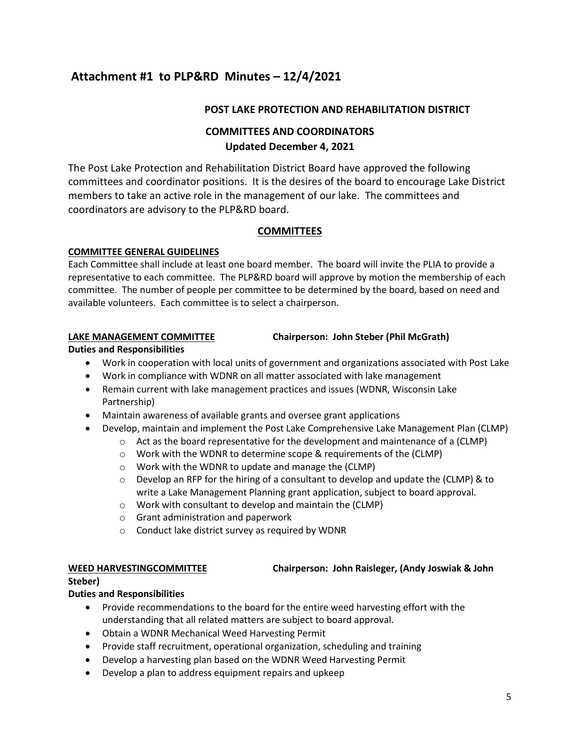# **Attachment #1 to PLP&RD Minutes – 12/4/2021**

### **POST LAKE PROTECTION AND REHABILITATION DISTRICT**

## **COMMITTEES AND COORDINATORS Updated December 4, 2021**

The Post Lake Protection and Rehabilitation District Board have approved the following committees and coordinator positions. It is the desires of the board to encourage Lake District members to take an active role in the management of our lake. The committees and coordinators are advisory to the PLP&RD board.

### **COMMITTEES**

### **COMMITTEE GENERAL GUIDELINES**

Each Committee shall include at least one board member. The board will invite the PLIA to provide a representative to each committee. The PLP&RD board will approve by motion the membership of each committee. The number of people per committee to be determined by the board, based on need and available volunteers. Each committee is to select a chairperson.

### **LAKE MANAGEMENT COMMITTEE Chairperson: John Steber (Phil McGrath)**

#### **Duties and Responsibilities**

- Work in cooperation with local units of government and organizations associated with Post Lake
- Work in compliance with WDNR on all matter associated with lake management
- Remain current with lake management practices and issues (WDNR, Wisconsin Lake Partnership)
- Maintain awareness of available grants and oversee grant applications
- Develop, maintain and implement the Post Lake Comprehensive Lake Management Plan (CLMP)
	- $\circ$  Act as the board representative for the development and maintenance of a (CLMP)
	- o Work with the WDNR to determine scope & requirements of the (CLMP)
	- o Work with the WDNR to update and manage the (CLMP)
	- $\circ$  Develop an RFP for the hiring of a consultant to develop and update the (CLMP) & to write a Lake Management Planning grant application, subject to board approval.
	- o Work with consultant to develop and maintain the (CLMP)
	- o Grant administration and paperwork
	- o Conduct lake district survey as required by WDNR

#### **WEED HARVESTINGCOMMITTEE Chairperson: John Raisleger, (Andy Joswiak & John**

#### **Steber)**

### **Duties and Responsibilities**

- Provide recommendations to the board for the entire weed harvesting effort with the understanding that all related matters are subject to board approval.
- Obtain a WDNR Mechanical Weed Harvesting Permit
- Provide staff recruitment, operational organization, scheduling and training
- Develop a harvesting plan based on the WDNR Weed Harvesting Permit
- Develop a plan to address equipment repairs and upkeep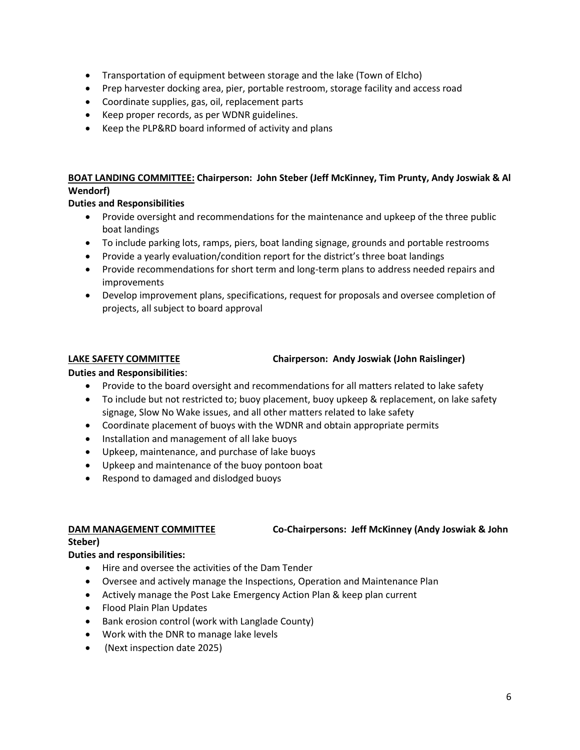- Transportation of equipment between storage and the lake (Town of Elcho)
- Prep harvester docking area, pier, portable restroom, storage facility and access road
- Coordinate supplies, gas, oil, replacement parts
- Keep proper records, as per WDNR guidelines.
- Keep the PLP&RD board informed of activity and plans

### **BOAT LANDING COMMITTEE: Chairperson: John Steber (Jeff McKinney, Tim Prunty, Andy Joswiak & Al Wendorf)**

### **Duties and Responsibilities**

- Provide oversight and recommendations for the maintenance and upkeep of the three public boat landings
- To include parking lots, ramps, piers, boat landing signage, grounds and portable restrooms
- Provide a yearly evaluation/condition report for the district's three boat landings
- Provide recommendations for short term and long-term plans to address needed repairs and improvements
- Develop improvement plans, specifications, request for proposals and oversee completion of projects, all subject to board approval

#### **LAKE SAFETY COMMITTEE Chairperson: Andy Joswiak (John Raislinger)**

### **Duties and Responsibilities**:

- Provide to the board oversight and recommendations for all matters related to lake safety
- To include but not restricted to; buoy placement, buoy upkeep & replacement, on lake safety signage, Slow No Wake issues, and all other matters related to lake safety
- Coordinate placement of buoys with the WDNR and obtain appropriate permits
- Installation and management of all lake buoys
- Upkeep, maintenance, and purchase of lake buoys
- Upkeep and maintenance of the buoy pontoon boat
- Respond to damaged and dislodged buoys

#### **DAM MANAGEMENT COMMITTEE Co-Chairpersons: Jeff McKinney (Andy Joswiak & John**

#### **Steber)**

### **Duties and responsibilities:**

- Hire and oversee the activities of the Dam Tender
- Oversee and actively manage the Inspections, Operation and Maintenance Plan
- Actively manage the Post Lake Emergency Action Plan & keep plan current
- Flood Plain Plan Updates
- Bank erosion control (work with Langlade County)
- Work with the DNR to manage lake levels
- (Next inspection date 2025)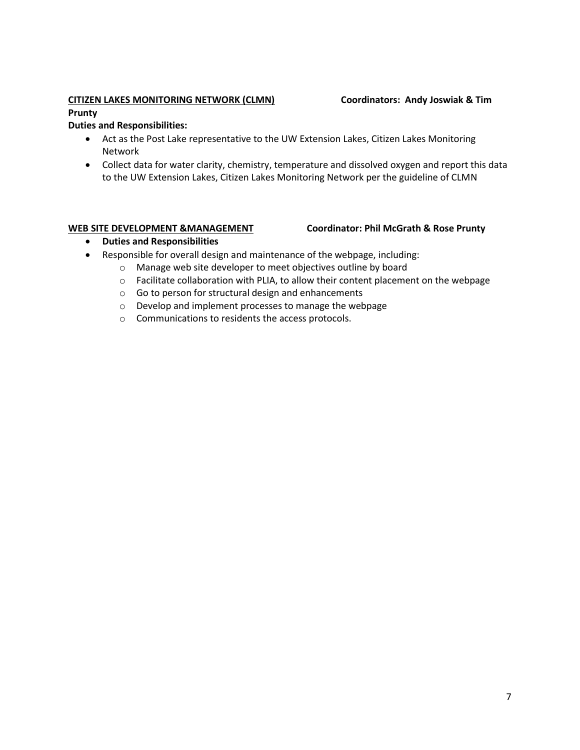### **CITIZEN LAKES MONITORING NETWORK (CLMN) Coordinators: Andy Joswiak & Tim**

#### **Prunty**

### **Duties and Responsibilities:**

- Act as the Post Lake representative to the UW Extension Lakes, Citizen Lakes Monitoring Network
- Collect data for water clarity, chemistry, temperature and dissolved oxygen and report this data to the UW Extension Lakes, Citizen Lakes Monitoring Network per the guideline of CLMN

#### **WEB SITE DEVELOPMENT &MANAGEMENT Coordinator: Phil McGrath & Rose Prunty**

- **Duties and Responsibilities**
- Responsible for overall design and maintenance of the webpage, including:
	- o Manage web site developer to meet objectives outline by board
	- $\circ$  Facilitate collaboration with PLIA, to allow their content placement on the webpage
	- o Go to person for structural design and enhancements
	- o Develop and implement processes to manage the webpage
	- o Communications to residents the access protocols.